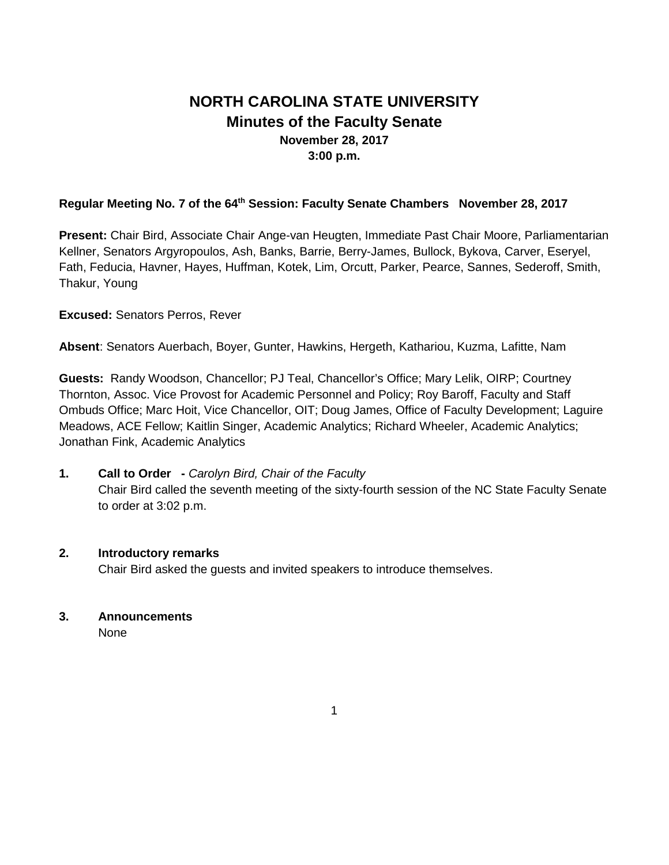# **NORTH CAROLINA STATE UNIVERSITY Minutes of the Faculty Senate November 28, 2017 3:00 p.m.**

### Regular Meeting No. 7 of the 64<sup>th</sup> Session: Faculty Senate Chambers November 28, 2017

**Present:** Chair Bird, Associate Chair Ange-van Heugten, Immediate Past Chair Moore, Parliamentarian Kellner, Senators Argyropoulos, Ash, Banks, Barrie, Berry-James, Bullock, Bykova, Carver, Eseryel, Fath, Feducia, Havner, Hayes, Huffman, Kotek, Lim, Orcutt, Parker, Pearce, Sannes, Sederoff, Smith, Thakur, Young

#### **Excused:** Senators Perros, Rever

**Absent**: Senators Auerbach, Boyer, Gunter, Hawkins, Hergeth, Kathariou, Kuzma, Lafitte, Nam

**Guests:** Randy Woodson, Chancellor; PJ Teal, Chancellor's Office; Mary Lelik, OIRP; Courtney Thornton, Assoc. Vice Provost for Academic Personnel and Policy; Roy Baroff, Faculty and Staff Ombuds Office; Marc Hoit, Vice Chancellor, OIT; Doug James, Office of Faculty Development; Laguire Meadows, ACE Fellow; Kaitlin Singer, Academic Analytics; Richard Wheeler, Academic Analytics; Jonathan Fink, Academic Analytics

## **1. Call to Order -** *Carolyn Bird, Chair of the Faculty* Chair Bird called the seventh meeting of the sixty-fourth session of the NC State Faculty Senate to order at 3:02 p.m.

#### **2. Introductory remarks**

Chair Bird asked the guests and invited speakers to introduce themselves.

#### **3. Announcements**

None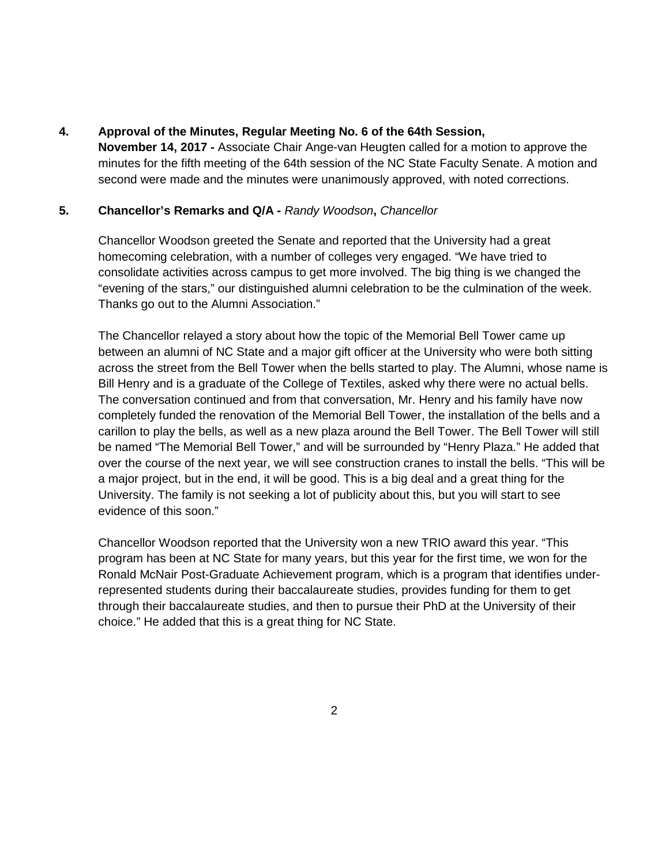### **4. Approval of the Minutes, Regular Meeting No. 6 of the 64th Session,**

**November 14, 2017 -** Associate Chair Ange-van Heugten called for a motion to approve the minutes for the fifth meeting of the 64th session of the NC State Faculty Senate. A motion and second were made and the minutes were unanimously approved, with noted corrections.

## **5. Chancellor's Remarks and Q/A -** *Randy Woodson***,** *Chancellor*

Chancellor Woodson greeted the Senate and reported that the University had a great homecoming celebration, with a number of colleges very engaged. "We have tried to consolidate activities across campus to get more involved. The big thing is we changed the "evening of the stars," our distinguished alumni celebration to be the culmination of the week. Thanks go out to the Alumni Association."

The Chancellor relayed a story about how the topic of the Memorial Bell Tower came up between an alumni of NC State and a major gift officer at the University who were both sitting across the street from the Bell Tower when the bells started to play. The Alumni, whose name is Bill Henry and is a graduate of the College of Textiles, asked why there were no actual bells. The conversation continued and from that conversation, Mr. Henry and his family have now completely funded the renovation of the Memorial Bell Tower, the installation of the bells and a carillon to play the bells, as well as a new plaza around the Bell Tower. The Bell Tower will still be named "The Memorial Bell Tower," and will be surrounded by "Henry Plaza." He added that over the course of the next year, we will see construction cranes to install the bells. "This will be a major project, but in the end, it will be good. This is a big deal and a great thing for the University. The family is not seeking a lot of publicity about this, but you will start to see evidence of this soon."

Chancellor Woodson reported that the University won a new TRIO award this year. "This program has been at NC State for many years, but this year for the first time, we won for the Ronald McNair Post-Graduate Achievement program, which is a program that identifies underrepresented students during their baccalaureate studies, provides funding for them to get through their baccalaureate studies, and then to pursue their PhD at the University of their choice." He added that this is a great thing for NC State.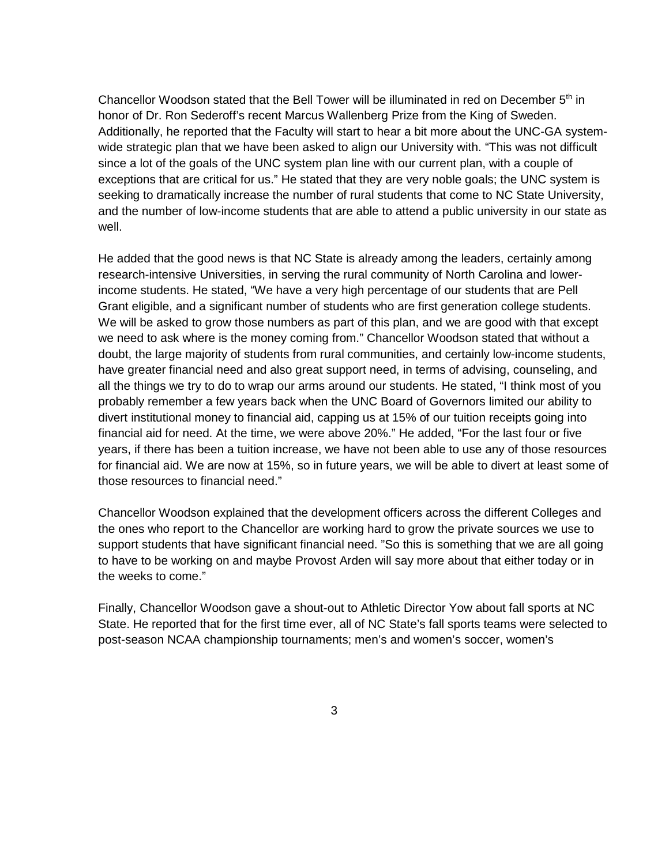Chancellor Woodson stated that the Bell Tower will be illuminated in red on December  $5<sup>th</sup>$  in honor of Dr. Ron Sederoff's recent Marcus Wallenberg Prize from the King of Sweden. Additionally, he reported that the Faculty will start to hear a bit more about the UNC-GA systemwide strategic plan that we have been asked to align our University with. "This was not difficult since a lot of the goals of the UNC system plan line with our current plan, with a couple of exceptions that are critical for us." He stated that they are very noble goals; the UNC system is seeking to dramatically increase the number of rural students that come to NC State University, and the number of low-income students that are able to attend a public university in our state as well.

He added that the good news is that NC State is already among the leaders, certainly among research-intensive Universities, in serving the rural community of North Carolina and lowerincome students. He stated, "We have a very high percentage of our students that are Pell Grant eligible, and a significant number of students who are first generation college students. We will be asked to grow those numbers as part of this plan, and we are good with that except we need to ask where is the money coming from." Chancellor Woodson stated that without a doubt, the large majority of students from rural communities, and certainly low-income students, have greater financial need and also great support need, in terms of advising, counseling, and all the things we try to do to wrap our arms around our students. He stated, "I think most of you probably remember a few years back when the UNC Board of Governors limited our ability to divert institutional money to financial aid, capping us at 15% of our tuition receipts going into financial aid for need. At the time, we were above 20%." He added, "For the last four or five years, if there has been a tuition increase, we have not been able to use any of those resources for financial aid. We are now at 15%, so in future years, we will be able to divert at least some of those resources to financial need."

Chancellor Woodson explained that the development officers across the different Colleges and the ones who report to the Chancellor are working hard to grow the private sources we use to support students that have significant financial need. "So this is something that we are all going to have to be working on and maybe Provost Arden will say more about that either today or in the weeks to come."

Finally, Chancellor Woodson gave a shout-out to Athletic Director Yow about fall sports at NC State. He reported that for the first time ever, all of NC State's fall sports teams were selected to post-season NCAA championship tournaments; men's and women's soccer, women's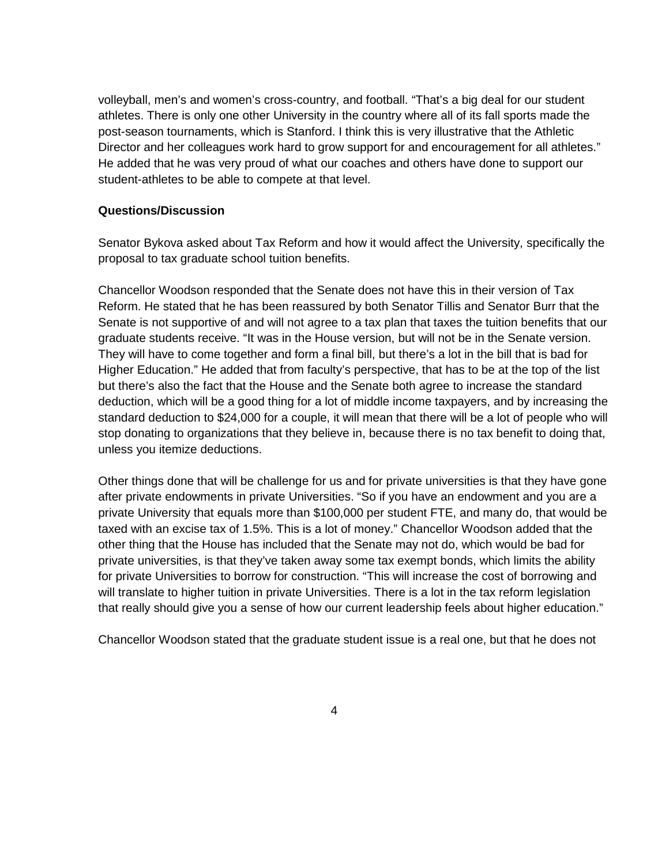volleyball, men's and women's cross-country, and football. "That's a big deal for our student athletes. There is only one other University in the country where all of its fall sports made the post-season tournaments, which is Stanford. I think this is very illustrative that the Athletic Director and her colleagues work hard to grow support for and encouragement for all athletes." He added that he was very proud of what our coaches and others have done to support our student-athletes to be able to compete at that level.

#### **Questions/Discussion**

Senator Bykova asked about Tax Reform and how it would affect the University, specifically the proposal to tax graduate school tuition benefits.

Chancellor Woodson responded that the Senate does not have this in their version of Tax Reform. He stated that he has been reassured by both Senator Tillis and Senator Burr that the Senate is not supportive of and will not agree to a tax plan that taxes the tuition benefits that our graduate students receive. "It was in the House version, but will not be in the Senate version. They will have to come together and form a final bill, but there's a lot in the bill that is bad for Higher Education." He added that from faculty's perspective, that has to be at the top of the list but there's also the fact that the House and the Senate both agree to increase the standard deduction, which will be a good thing for a lot of middle income taxpayers, and by increasing the standard deduction to \$24,000 for a couple, it will mean that there will be a lot of people who will stop donating to organizations that they believe in, because there is no tax benefit to doing that, unless you itemize deductions.

Other things done that will be challenge for us and for private universities is that they have gone after private endowments in private Universities. "So if you have an endowment and you are a private University that equals more than \$100,000 per student FTE, and many do, that would be taxed with an excise tax of 1.5%. This is a lot of money." Chancellor Woodson added that the other thing that the House has included that the Senate may not do, which would be bad for private universities, is that they've taken away some tax exempt bonds, which limits the ability for private Universities to borrow for construction. "This will increase the cost of borrowing and will translate to higher tuition in private Universities. There is a lot in the tax reform legislation that really should give you a sense of how our current leadership feels about higher education."

Chancellor Woodson stated that the graduate student issue is a real one, but that he does not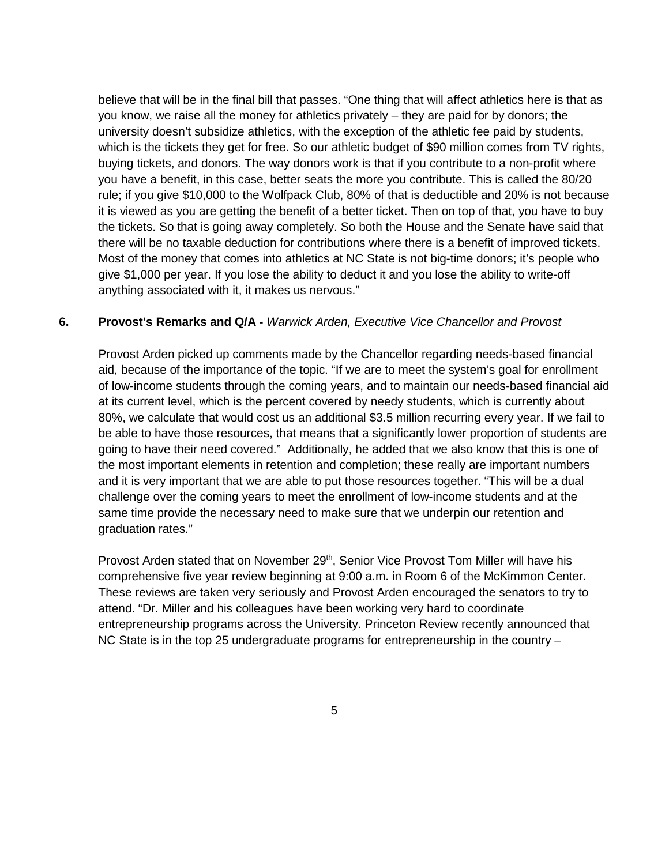believe that will be in the final bill that passes. "One thing that will affect athletics here is that as you know, we raise all the money for athletics privately – they are paid for by donors; the university doesn't subsidize athletics, with the exception of the athletic fee paid by students, which is the tickets they get for free. So our athletic budget of \$90 million comes from TV rights, buying tickets, and donors. The way donors work is that if you contribute to a non-profit where you have a benefit, in this case, better seats the more you contribute. This is called the 80/20 rule; if you give \$10,000 to the Wolfpack Club, 80% of that is deductible and 20% is not because it is viewed as you are getting the benefit of a better ticket. Then on top of that, you have to buy the tickets. So that is going away completely. So both the House and the Senate have said that there will be no taxable deduction for contributions where there is a benefit of improved tickets. Most of the money that comes into athletics at NC State is not big-time donors; it's people who give \$1,000 per year. If you lose the ability to deduct it and you lose the ability to write-off anything associated with it, it makes us nervous."

#### **6. Provost's Remarks and Q/A -** *Warwick Arden, Executive Vice Chancellor and Provost*

Provost Arden picked up comments made by the Chancellor regarding needs-based financial aid, because of the importance of the topic. "If we are to meet the system's goal for enrollment of low-income students through the coming years, and to maintain our needs-based financial aid at its current level, which is the percent covered by needy students, which is currently about 80%, we calculate that would cost us an additional \$3.5 million recurring every year. If we fail to be able to have those resources, that means that a significantly lower proportion of students are going to have their need covered." Additionally, he added that we also know that this is one of the most important elements in retention and completion; these really are important numbers and it is very important that we are able to put those resources together. "This will be a dual challenge over the coming years to meet the enrollment of low-income students and at the same time provide the necessary need to make sure that we underpin our retention and graduation rates."

Provost Arden stated that on November 29<sup>th</sup>, Senior Vice Provost Tom Miller will have his comprehensive five year review beginning at 9:00 a.m. in Room 6 of the McKimmon Center. These reviews are taken very seriously and Provost Arden encouraged the senators to try to attend. "Dr. Miller and his colleagues have been working very hard to coordinate entrepreneurship programs across the University. Princeton Review recently announced that NC State is in the top 25 undergraduate programs for entrepreneurship in the country –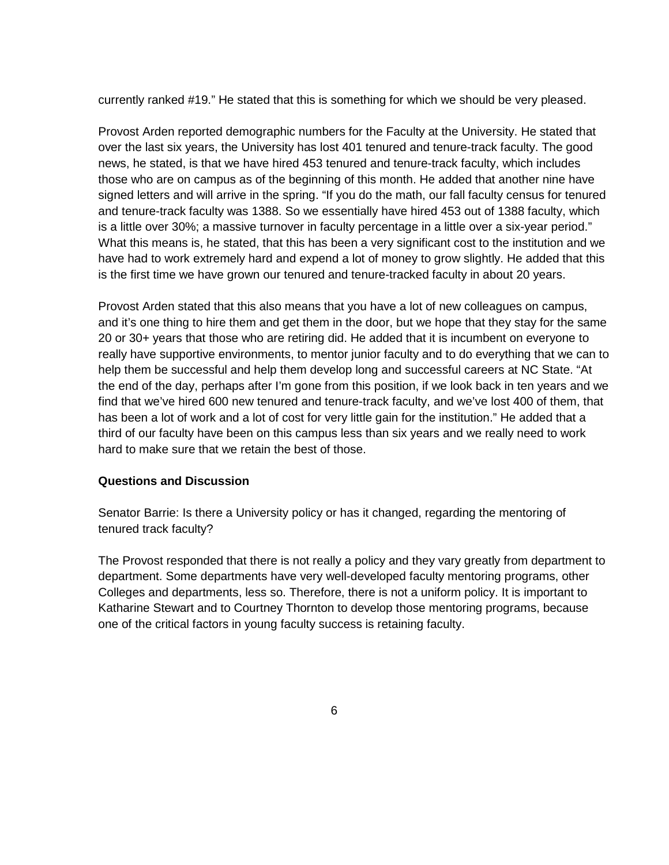currently ranked #19." He stated that this is something for which we should be very pleased.

Provost Arden reported demographic numbers for the Faculty at the University. He stated that over the last six years, the University has lost 401 tenured and tenure-track faculty. The good news, he stated, is that we have hired 453 tenured and tenure-track faculty, which includes those who are on campus as of the beginning of this month. He added that another nine have signed letters and will arrive in the spring. "If you do the math, our fall faculty census for tenured and tenure-track faculty was 1388. So we essentially have hired 453 out of 1388 faculty, which is a little over 30%; a massive turnover in faculty percentage in a little over a six-year period." What this means is, he stated, that this has been a very significant cost to the institution and we have had to work extremely hard and expend a lot of money to grow slightly. He added that this is the first time we have grown our tenured and tenure-tracked faculty in about 20 years.

Provost Arden stated that this also means that you have a lot of new colleagues on campus, and it's one thing to hire them and get them in the door, but we hope that they stay for the same 20 or 30+ years that those who are retiring did. He added that it is incumbent on everyone to really have supportive environments, to mentor junior faculty and to do everything that we can to help them be successful and help them develop long and successful careers at NC State. "At the end of the day, perhaps after I'm gone from this position, if we look back in ten years and we find that we've hired 600 new tenured and tenure-track faculty, and we've lost 400 of them, that has been a lot of work and a lot of cost for very little gain for the institution." He added that a third of our faculty have been on this campus less than six years and we really need to work hard to make sure that we retain the best of those.

### **Questions and Discussion**

Senator Barrie: Is there a University policy or has it changed, regarding the mentoring of tenured track faculty?

The Provost responded that there is not really a policy and they vary greatly from department to department. Some departments have very well-developed faculty mentoring programs, other Colleges and departments, less so. Therefore, there is not a uniform policy. It is important to Katharine Stewart and to Courtney Thornton to develop those mentoring programs, because one of the critical factors in young faculty success is retaining faculty.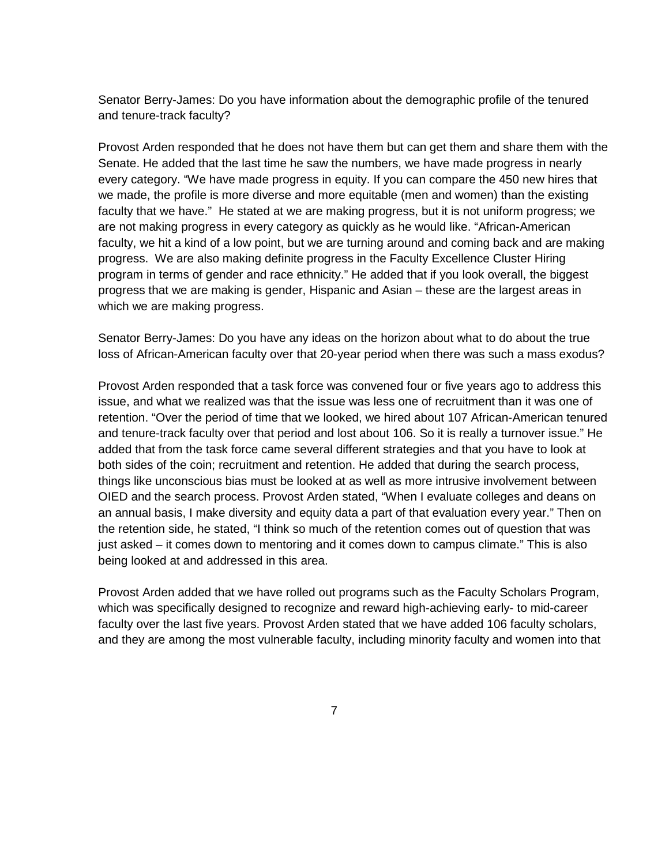Senator Berry-James: Do you have information about the demographic profile of the tenured and tenure-track faculty?

Provost Arden responded that he does not have them but can get them and share them with the Senate. He added that the last time he saw the numbers, we have made progress in nearly every category. "We have made progress in equity. If you can compare the 450 new hires that we made, the profile is more diverse and more equitable (men and women) than the existing faculty that we have." He stated at we are making progress, but it is not uniform progress; we are not making progress in every category as quickly as he would like. "African-American faculty, we hit a kind of a low point, but we are turning around and coming back and are making progress. We are also making definite progress in the Faculty Excellence Cluster Hiring program in terms of gender and race ethnicity." He added that if you look overall, the biggest progress that we are making is gender, Hispanic and Asian – these are the largest areas in which we are making progress.

Senator Berry-James: Do you have any ideas on the horizon about what to do about the true loss of African-American faculty over that 20-year period when there was such a mass exodus?

Provost Arden responded that a task force was convened four or five years ago to address this issue, and what we realized was that the issue was less one of recruitment than it was one of retention. "Over the period of time that we looked, we hired about 107 African-American tenured and tenure-track faculty over that period and lost about 106. So it is really a turnover issue." He added that from the task force came several different strategies and that you have to look at both sides of the coin; recruitment and retention. He added that during the search process, things like unconscious bias must be looked at as well as more intrusive involvement between OIED and the search process. Provost Arden stated, "When I evaluate colleges and deans on an annual basis, I make diversity and equity data a part of that evaluation every year." Then on the retention side, he stated, "I think so much of the retention comes out of question that was just asked – it comes down to mentoring and it comes down to campus climate." This is also being looked at and addressed in this area.

Provost Arden added that we have rolled out programs such as the Faculty Scholars Program, which was specifically designed to recognize and reward high-achieving early- to mid-career faculty over the last five years. Provost Arden stated that we have added 106 faculty scholars, and they are among the most vulnerable faculty, including minority faculty and women into that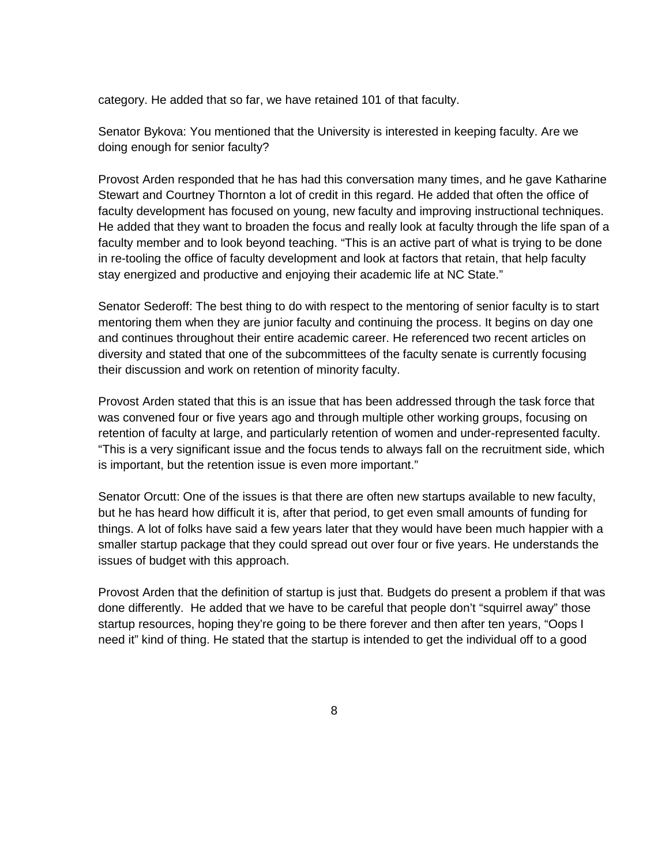category. He added that so far, we have retained 101 of that faculty.

Senator Bykova: You mentioned that the University is interested in keeping faculty. Are we doing enough for senior faculty?

Provost Arden responded that he has had this conversation many times, and he gave Katharine Stewart and Courtney Thornton a lot of credit in this regard. He added that often the office of faculty development has focused on young, new faculty and improving instructional techniques. He added that they want to broaden the focus and really look at faculty through the life span of a faculty member and to look beyond teaching. "This is an active part of what is trying to be done in re-tooling the office of faculty development and look at factors that retain, that help faculty stay energized and productive and enjoying their academic life at NC State."

Senator Sederoff: The best thing to do with respect to the mentoring of senior faculty is to start mentoring them when they are junior faculty and continuing the process. It begins on day one and continues throughout their entire academic career. He referenced two recent articles on diversity and stated that one of the subcommittees of the faculty senate is currently focusing their discussion and work on retention of minority faculty.

Provost Arden stated that this is an issue that has been addressed through the task force that was convened four or five years ago and through multiple other working groups, focusing on retention of faculty at large, and particularly retention of women and under-represented faculty. "This is a very significant issue and the focus tends to always fall on the recruitment side, which is important, but the retention issue is even more important."

Senator Orcutt: One of the issues is that there are often new startups available to new faculty, but he has heard how difficult it is, after that period, to get even small amounts of funding for things. A lot of folks have said a few years later that they would have been much happier with a smaller startup package that they could spread out over four or five years. He understands the issues of budget with this approach.

Provost Arden that the definition of startup is just that. Budgets do present a problem if that was done differently. He added that we have to be careful that people don't "squirrel away" those startup resources, hoping they're going to be there forever and then after ten years, "Oops I need it" kind of thing. He stated that the startup is intended to get the individual off to a good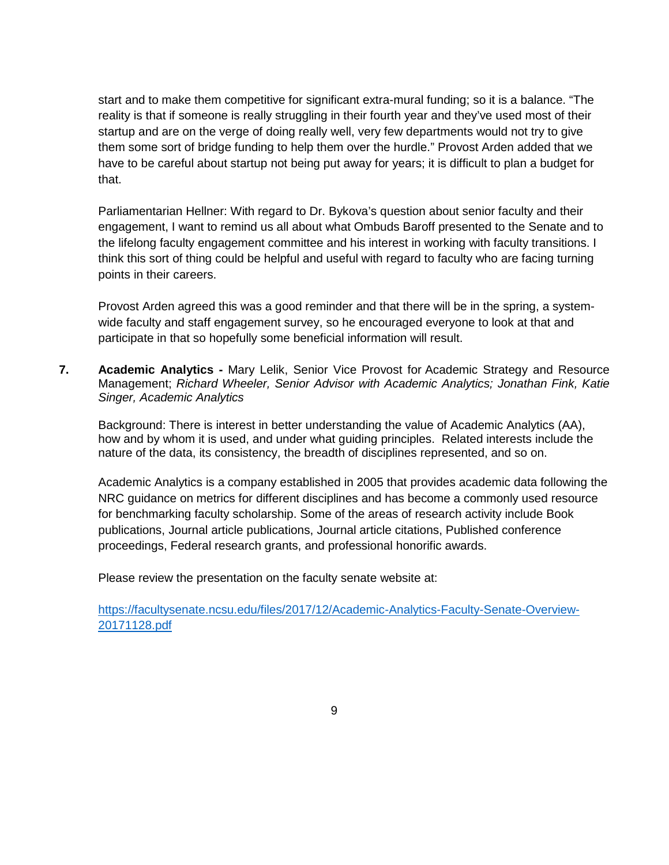start and to make them competitive for significant extra-mural funding; so it is a balance. "The reality is that if someone is really struggling in their fourth year and they've used most of their startup and are on the verge of doing really well, very few departments would not try to give them some sort of bridge funding to help them over the hurdle." Provost Arden added that we have to be careful about startup not being put away for years; it is difficult to plan a budget for that.

Parliamentarian Hellner: With regard to Dr. Bykova's question about senior faculty and their engagement, I want to remind us all about what Ombuds Baroff presented to the Senate and to the lifelong faculty engagement committee and his interest in working with faculty transitions. I think this sort of thing could be helpful and useful with regard to faculty who are facing turning points in their careers.

Provost Arden agreed this was a good reminder and that there will be in the spring, a systemwide faculty and staff engagement survey, so he encouraged everyone to look at that and participate in that so hopefully some beneficial information will result.

**7. Academic Analytics -** Mary Lelik, Senior Vice Provost for Academic Strategy and Resource Management; *Richard Wheeler, Senior Advisor with Academic Analytics; Jonathan Fink, Katie Singer, Academic Analytics*

Background: There is interest in better understanding the value of Academic Analytics (AA), how and by whom it is used, and under what guiding principles. Related interests include the nature of the data, its consistency, the breadth of disciplines represented, and so on.

Academic Analytics is a company established in 2005 that provides academic data following the NRC guidance on metrics for different disciplines and has become a commonly used resource for benchmarking faculty scholarship. Some of the areas of research activity include Book publications, Journal article publications, Journal article citations, Published conference proceedings, Federal research grants, and professional honorific awards.

Please review the presentation on the faculty senate website at:

[https://facultysenate.ncsu.edu/files/2017/12/Academic-Analytics-Faculty-Senate-Overview-](https://facultysenate.ncsu.edu/files/2017/12/Academic-Analytics-Faculty-Senate-Overview-20171128.pdf)[20171128.pdf](https://facultysenate.ncsu.edu/files/2017/12/Academic-Analytics-Faculty-Senate-Overview-20171128.pdf)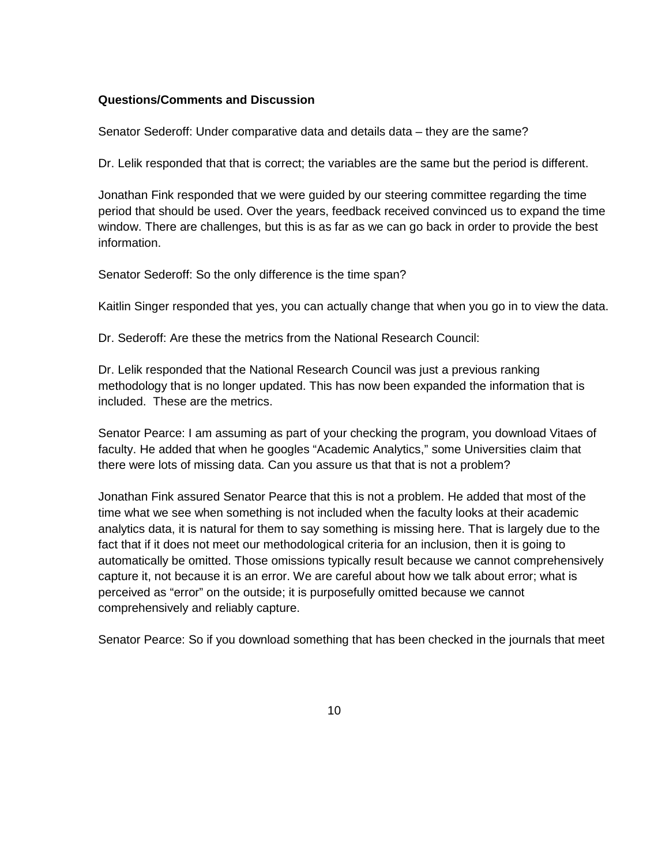#### **Questions/Comments and Discussion**

Senator Sederoff: Under comparative data and details data – they are the same?

Dr. Lelik responded that that is correct; the variables are the same but the period is different.

Jonathan Fink responded that we were guided by our steering committee regarding the time period that should be used. Over the years, feedback received convinced us to expand the time window. There are challenges, but this is as far as we can go back in order to provide the best information.

Senator Sederoff: So the only difference is the time span?

Kaitlin Singer responded that yes, you can actually change that when you go in to view the data.

Dr. Sederoff: Are these the metrics from the National Research Council:

Dr. Lelik responded that the National Research Council was just a previous ranking methodology that is no longer updated. This has now been expanded the information that is included. These are the metrics.

Senator Pearce: I am assuming as part of your checking the program, you download Vitaes of faculty. He added that when he googles "Academic Analytics," some Universities claim that there were lots of missing data. Can you assure us that that is not a problem?

Jonathan Fink assured Senator Pearce that this is not a problem. He added that most of the time what we see when something is not included when the faculty looks at their academic analytics data, it is natural for them to say something is missing here. That is largely due to the fact that if it does not meet our methodological criteria for an inclusion, then it is going to automatically be omitted. Those omissions typically result because we cannot comprehensively capture it, not because it is an error. We are careful about how we talk about error; what is perceived as "error" on the outside; it is purposefully omitted because we cannot comprehensively and reliably capture.

Senator Pearce: So if you download something that has been checked in the journals that meet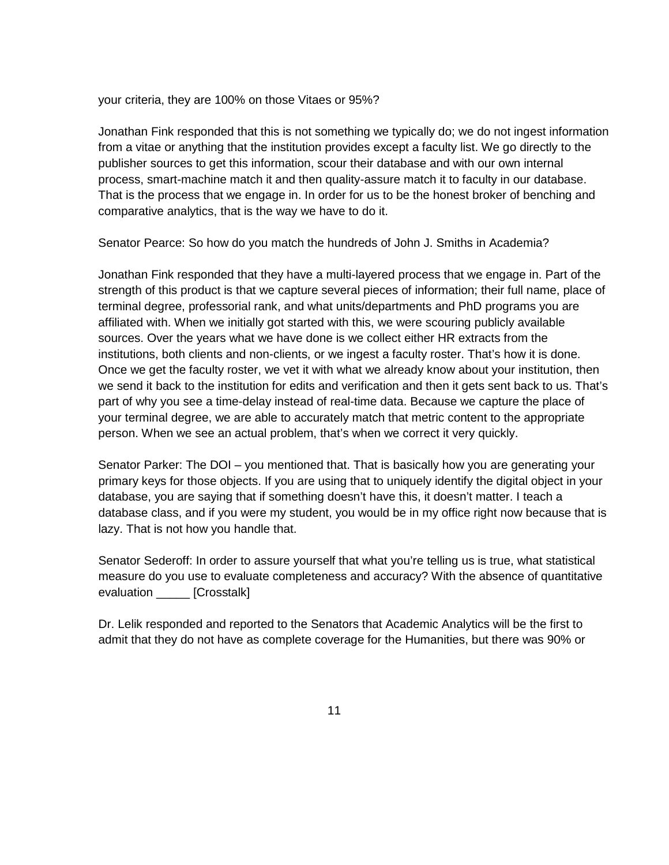your criteria, they are 100% on those Vitaes or 95%?

Jonathan Fink responded that this is not something we typically do; we do not ingest information from a vitae or anything that the institution provides except a faculty list. We go directly to the publisher sources to get this information, scour their database and with our own internal process, smart-machine match it and then quality-assure match it to faculty in our database. That is the process that we engage in. In order for us to be the honest broker of benching and comparative analytics, that is the way we have to do it.

Senator Pearce: So how do you match the hundreds of John J. Smiths in Academia?

Jonathan Fink responded that they have a multi-layered process that we engage in. Part of the strength of this product is that we capture several pieces of information; their full name, place of terminal degree, professorial rank, and what units/departments and PhD programs you are affiliated with. When we initially got started with this, we were scouring publicly available sources. Over the years what we have done is we collect either HR extracts from the institutions, both clients and non-clients, or we ingest a faculty roster. That's how it is done. Once we get the faculty roster, we vet it with what we already know about your institution, then we send it back to the institution for edits and verification and then it gets sent back to us. That's part of why you see a time-delay instead of real-time data. Because we capture the place of your terminal degree, we are able to accurately match that metric content to the appropriate person. When we see an actual problem, that's when we correct it very quickly.

Senator Parker: The DOI – you mentioned that. That is basically how you are generating your primary keys for those objects. If you are using that to uniquely identify the digital object in your database, you are saying that if something doesn't have this, it doesn't matter. I teach a database class, and if you were my student, you would be in my office right now because that is lazy. That is not how you handle that.

Senator Sederoff: In order to assure yourself that what you're telling us is true, what statistical measure do you use to evaluate completeness and accuracy? With the absence of quantitative evaluation [Crosstalk]

Dr. Lelik responded and reported to the Senators that Academic Analytics will be the first to admit that they do not have as complete coverage for the Humanities, but there was 90% or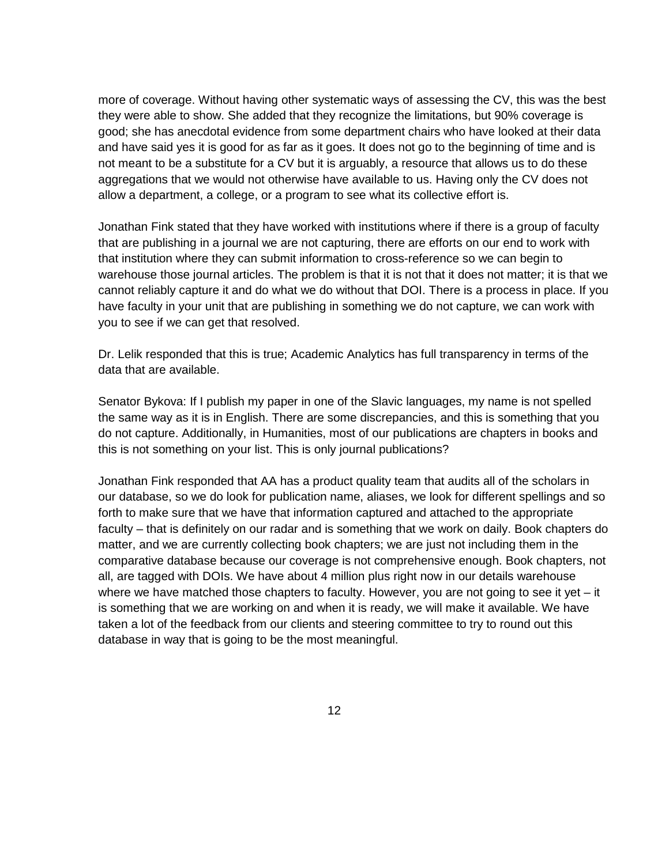more of coverage. Without having other systematic ways of assessing the CV, this was the best they were able to show. She added that they recognize the limitations, but 90% coverage is good; she has anecdotal evidence from some department chairs who have looked at their data and have said yes it is good for as far as it goes. It does not go to the beginning of time and is not meant to be a substitute for a CV but it is arguably, a resource that allows us to do these aggregations that we would not otherwise have available to us. Having only the CV does not allow a department, a college, or a program to see what its collective effort is.

Jonathan Fink stated that they have worked with institutions where if there is a group of faculty that are publishing in a journal we are not capturing, there are efforts on our end to work with that institution where they can submit information to cross-reference so we can begin to warehouse those journal articles. The problem is that it is not that it does not matter; it is that we cannot reliably capture it and do what we do without that DOI. There is a process in place. If you have faculty in your unit that are publishing in something we do not capture, we can work with you to see if we can get that resolved.

Dr. Lelik responded that this is true; Academic Analytics has full transparency in terms of the data that are available.

Senator Bykova: If I publish my paper in one of the Slavic languages, my name is not spelled the same way as it is in English. There are some discrepancies, and this is something that you do not capture. Additionally, in Humanities, most of our publications are chapters in books and this is not something on your list. This is only journal publications?

Jonathan Fink responded that AA has a product quality team that audits all of the scholars in our database, so we do look for publication name, aliases, we look for different spellings and so forth to make sure that we have that information captured and attached to the appropriate faculty – that is definitely on our radar and is something that we work on daily. Book chapters do matter, and we are currently collecting book chapters; we are just not including them in the comparative database because our coverage is not comprehensive enough. Book chapters, not all, are tagged with DOIs. We have about 4 million plus right now in our details warehouse where we have matched those chapters to faculty. However, you are not going to see it yet  $-$  it is something that we are working on and when it is ready, we will make it available. We have taken a lot of the feedback from our clients and steering committee to try to round out this database in way that is going to be the most meaningful.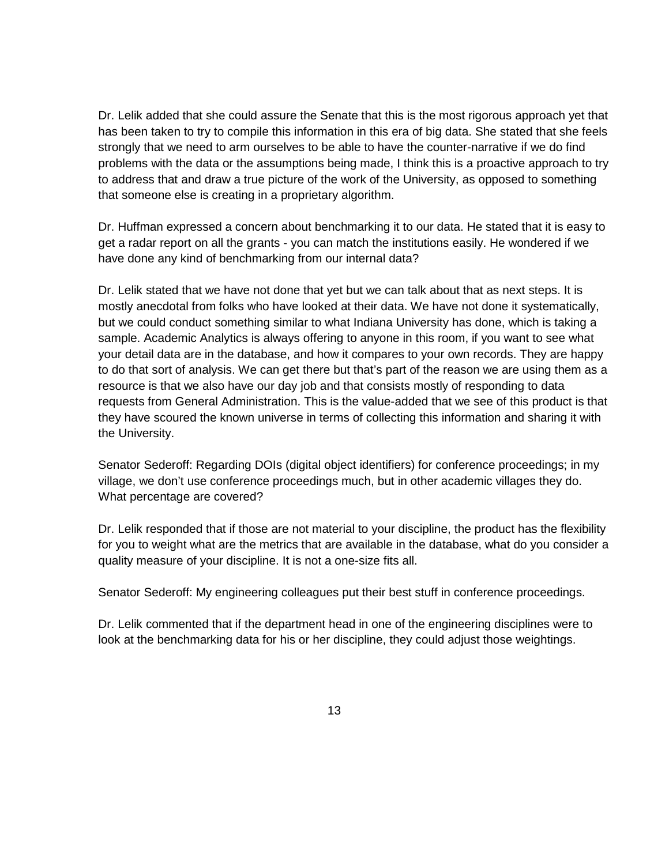Dr. Lelik added that she could assure the Senate that this is the most rigorous approach yet that has been taken to try to compile this information in this era of big data. She stated that she feels strongly that we need to arm ourselves to be able to have the counter-narrative if we do find problems with the data or the assumptions being made, I think this is a proactive approach to try to address that and draw a true picture of the work of the University, as opposed to something that someone else is creating in a proprietary algorithm.

Dr. Huffman expressed a concern about benchmarking it to our data. He stated that it is easy to get a radar report on all the grants - you can match the institutions easily. He wondered if we have done any kind of benchmarking from our internal data?

Dr. Lelik stated that we have not done that yet but we can talk about that as next steps. It is mostly anecdotal from folks who have looked at their data. We have not done it systematically, but we could conduct something similar to what Indiana University has done, which is taking a sample. Academic Analytics is always offering to anyone in this room, if you want to see what your detail data are in the database, and how it compares to your own records. They are happy to do that sort of analysis. We can get there but that's part of the reason we are using them as a resource is that we also have our day job and that consists mostly of responding to data requests from General Administration. This is the value-added that we see of this product is that they have scoured the known universe in terms of collecting this information and sharing it with the University.

Senator Sederoff: Regarding DOIs (digital object identifiers) for conference proceedings; in my village, we don't use conference proceedings much, but in other academic villages they do. What percentage are covered?

Dr. Lelik responded that if those are not material to your discipline, the product has the flexibility for you to weight what are the metrics that are available in the database, what do you consider a quality measure of your discipline. It is not a one-size fits all.

Senator Sederoff: My engineering colleagues put their best stuff in conference proceedings.

Dr. Lelik commented that if the department head in one of the engineering disciplines were to look at the benchmarking data for his or her discipline, they could adjust those weightings.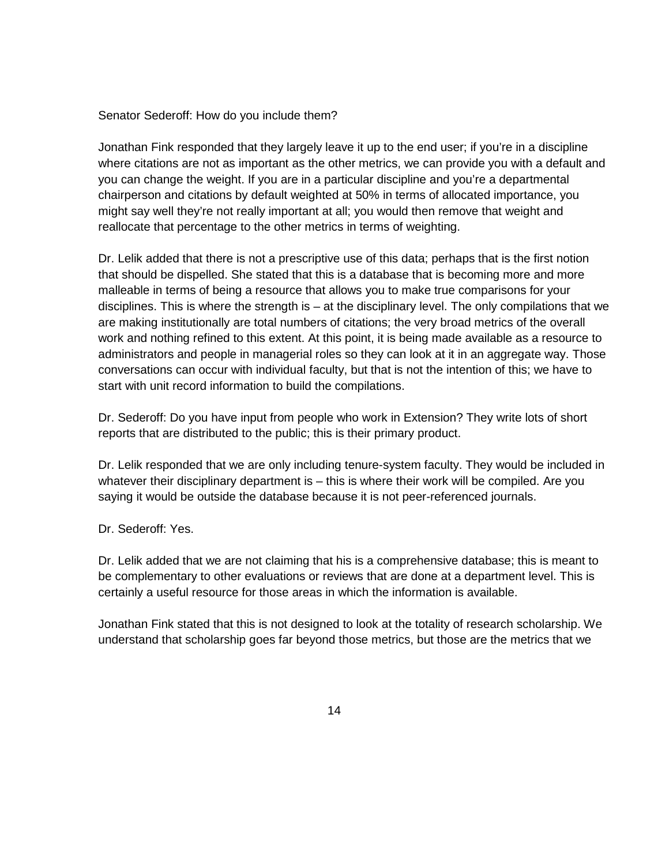Senator Sederoff: How do you include them?

Jonathan Fink responded that they largely leave it up to the end user; if you're in a discipline where citations are not as important as the other metrics, we can provide you with a default and you can change the weight. If you are in a particular discipline and you're a departmental chairperson and citations by default weighted at 50% in terms of allocated importance, you might say well they're not really important at all; you would then remove that weight and reallocate that percentage to the other metrics in terms of weighting.

Dr. Lelik added that there is not a prescriptive use of this data; perhaps that is the first notion that should be dispelled. She stated that this is a database that is becoming more and more malleable in terms of being a resource that allows you to make true comparisons for your disciplines. This is where the strength is – at the disciplinary level. The only compilations that we are making institutionally are total numbers of citations; the very broad metrics of the overall work and nothing refined to this extent. At this point, it is being made available as a resource to administrators and people in managerial roles so they can look at it in an aggregate way. Those conversations can occur with individual faculty, but that is not the intention of this; we have to start with unit record information to build the compilations.

Dr. Sederoff: Do you have input from people who work in Extension? They write lots of short reports that are distributed to the public; this is their primary product.

Dr. Lelik responded that we are only including tenure-system faculty. They would be included in whatever their disciplinary department is – this is where their work will be compiled. Are you saying it would be outside the database because it is not peer-referenced journals.

Dr. Sederoff: Yes.

Dr. Lelik added that we are not claiming that his is a comprehensive database; this is meant to be complementary to other evaluations or reviews that are done at a department level. This is certainly a useful resource for those areas in which the information is available.

Jonathan Fink stated that this is not designed to look at the totality of research scholarship. We understand that scholarship goes far beyond those metrics, but those are the metrics that we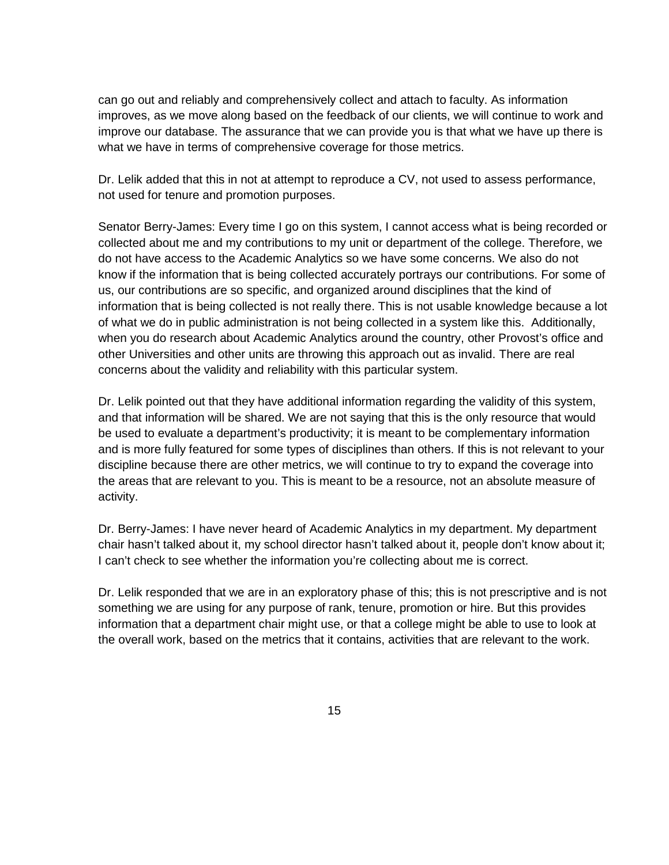can go out and reliably and comprehensively collect and attach to faculty. As information improves, as we move along based on the feedback of our clients, we will continue to work and improve our database. The assurance that we can provide you is that what we have up there is what we have in terms of comprehensive coverage for those metrics.

Dr. Lelik added that this in not at attempt to reproduce a CV, not used to assess performance, not used for tenure and promotion purposes.

Senator Berry-James: Every time I go on this system, I cannot access what is being recorded or collected about me and my contributions to my unit or department of the college. Therefore, we do not have access to the Academic Analytics so we have some concerns. We also do not know if the information that is being collected accurately portrays our contributions. For some of us, our contributions are so specific, and organized around disciplines that the kind of information that is being collected is not really there. This is not usable knowledge because a lot of what we do in public administration is not being collected in a system like this. Additionally, when you do research about Academic Analytics around the country, other Provost's office and other Universities and other units are throwing this approach out as invalid. There are real concerns about the validity and reliability with this particular system.

Dr. Lelik pointed out that they have additional information regarding the validity of this system, and that information will be shared. We are not saying that this is the only resource that would be used to evaluate a department's productivity; it is meant to be complementary information and is more fully featured for some types of disciplines than others. If this is not relevant to your discipline because there are other metrics, we will continue to try to expand the coverage into the areas that are relevant to you. This is meant to be a resource, not an absolute measure of activity.

Dr. Berry-James: I have never heard of Academic Analytics in my department. My department chair hasn't talked about it, my school director hasn't talked about it, people don't know about it; I can't check to see whether the information you're collecting about me is correct.

Dr. Lelik responded that we are in an exploratory phase of this; this is not prescriptive and is not something we are using for any purpose of rank, tenure, promotion or hire. But this provides information that a department chair might use, or that a college might be able to use to look at the overall work, based on the metrics that it contains, activities that are relevant to the work.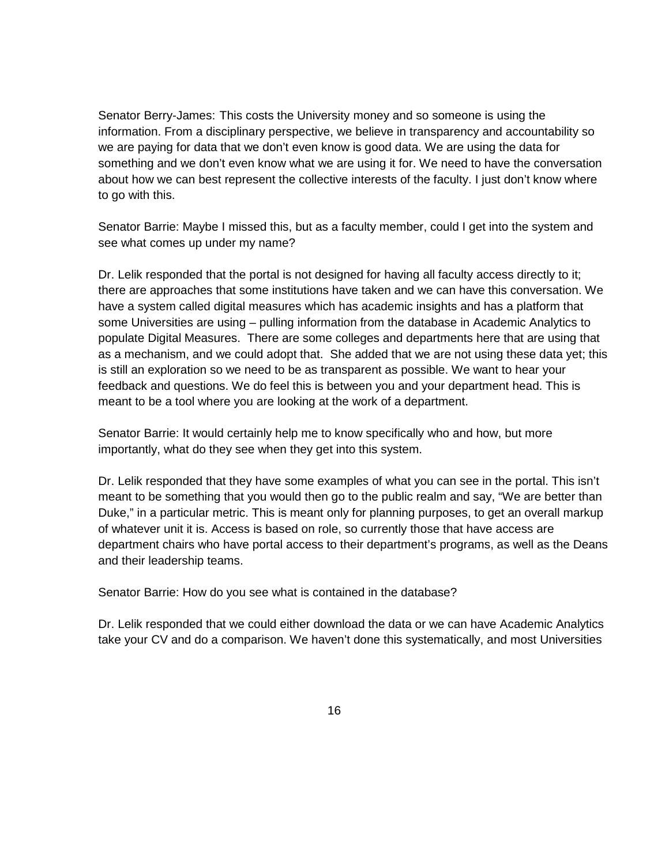Senator Berry-James: This costs the University money and so someone is using the information. From a disciplinary perspective, we believe in transparency and accountability so we are paying for data that we don't even know is good data. We are using the data for something and we don't even know what we are using it for. We need to have the conversation about how we can best represent the collective interests of the faculty. I just don't know where to go with this.

Senator Barrie: Maybe I missed this, but as a faculty member, could I get into the system and see what comes up under my name?

Dr. Lelik responded that the portal is not designed for having all faculty access directly to it; there are approaches that some institutions have taken and we can have this conversation. We have a system called digital measures which has academic insights and has a platform that some Universities are using – pulling information from the database in Academic Analytics to populate Digital Measures. There are some colleges and departments here that are using that as a mechanism, and we could adopt that. She added that we are not using these data yet; this is still an exploration so we need to be as transparent as possible. We want to hear your feedback and questions. We do feel this is between you and your department head. This is meant to be a tool where you are looking at the work of a department.

Senator Barrie: It would certainly help me to know specifically who and how, but more importantly, what do they see when they get into this system.

Dr. Lelik responded that they have some examples of what you can see in the portal. This isn't meant to be something that you would then go to the public realm and say, "We are better than Duke," in a particular metric. This is meant only for planning purposes, to get an overall markup of whatever unit it is. Access is based on role, so currently those that have access are department chairs who have portal access to their department's programs, as well as the Deans and their leadership teams.

Senator Barrie: How do you see what is contained in the database?

Dr. Lelik responded that we could either download the data or we can have Academic Analytics take your CV and do a comparison. We haven't done this systematically, and most Universities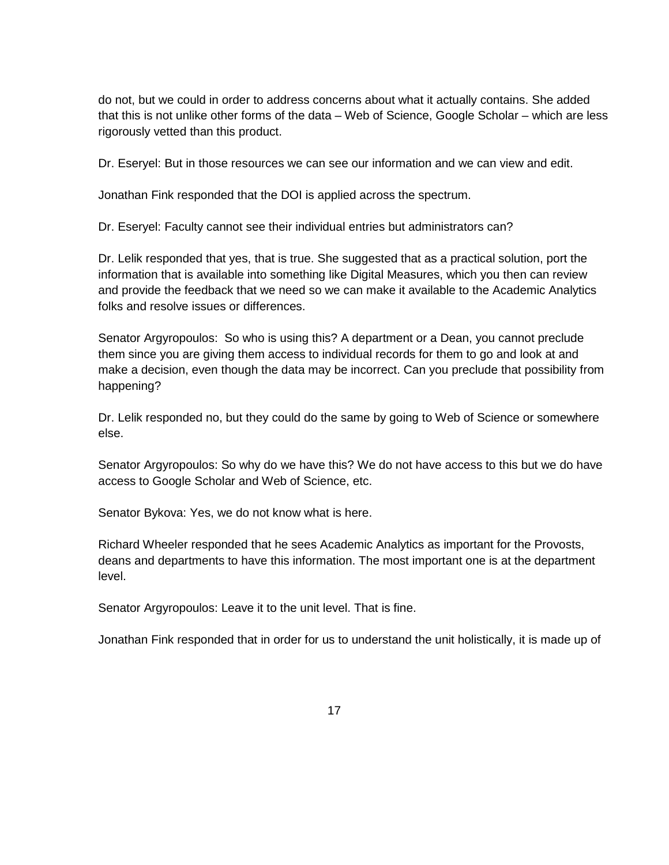do not, but we could in order to address concerns about what it actually contains. She added that this is not unlike other forms of the data – Web of Science, Google Scholar – which are less rigorously vetted than this product.

Dr. Eseryel: But in those resources we can see our information and we can view and edit.

Jonathan Fink responded that the DOI is applied across the spectrum.

Dr. Eseryel: Faculty cannot see their individual entries but administrators can?

Dr. Lelik responded that yes, that is true. She suggested that as a practical solution, port the information that is available into something like Digital Measures, which you then can review and provide the feedback that we need so we can make it available to the Academic Analytics folks and resolve issues or differences.

Senator Argyropoulos: So who is using this? A department or a Dean, you cannot preclude them since you are giving them access to individual records for them to go and look at and make a decision, even though the data may be incorrect. Can you preclude that possibility from happening?

Dr. Lelik responded no, but they could do the same by going to Web of Science or somewhere else.

Senator Argyropoulos: So why do we have this? We do not have access to this but we do have access to Google Scholar and Web of Science, etc.

Senator Bykova: Yes, we do not know what is here.

Richard Wheeler responded that he sees Academic Analytics as important for the Provosts, deans and departments to have this information. The most important one is at the department level.

Senator Argyropoulos: Leave it to the unit level. That is fine.

Jonathan Fink responded that in order for us to understand the unit holistically, it is made up of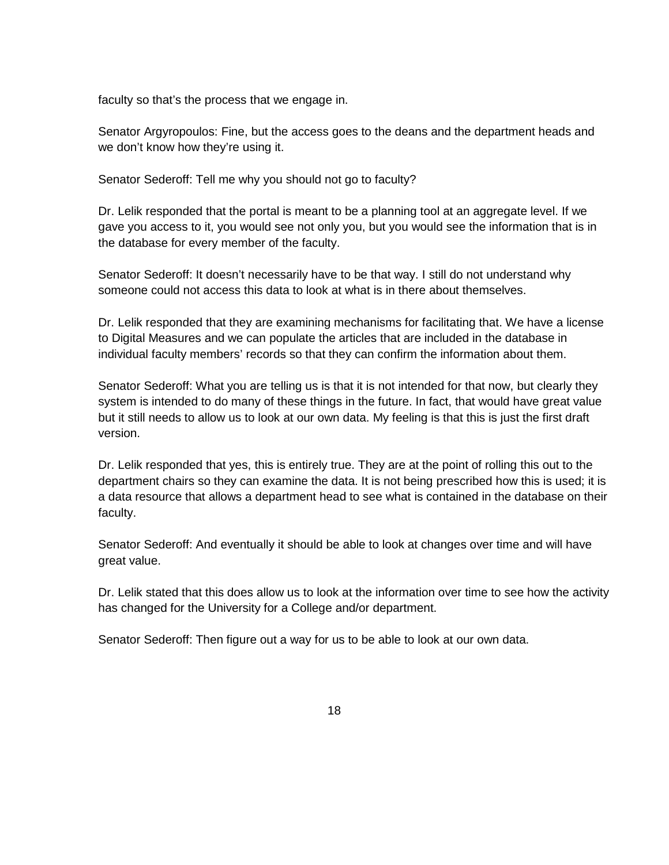faculty so that's the process that we engage in.

Senator Argyropoulos: Fine, but the access goes to the deans and the department heads and we don't know how they're using it.

Senator Sederoff: Tell me why you should not go to faculty?

Dr. Lelik responded that the portal is meant to be a planning tool at an aggregate level. If we gave you access to it, you would see not only you, but you would see the information that is in the database for every member of the faculty.

Senator Sederoff: It doesn't necessarily have to be that way. I still do not understand why someone could not access this data to look at what is in there about themselves.

Dr. Lelik responded that they are examining mechanisms for facilitating that. We have a license to Digital Measures and we can populate the articles that are included in the database in individual faculty members' records so that they can confirm the information about them.

Senator Sederoff: What you are telling us is that it is not intended for that now, but clearly they system is intended to do many of these things in the future. In fact, that would have great value but it still needs to allow us to look at our own data. My feeling is that this is just the first draft version.

Dr. Lelik responded that yes, this is entirely true. They are at the point of rolling this out to the department chairs so they can examine the data. It is not being prescribed how this is used; it is a data resource that allows a department head to see what is contained in the database on their faculty.

Senator Sederoff: And eventually it should be able to look at changes over time and will have great value.

Dr. Lelik stated that this does allow us to look at the information over time to see how the activity has changed for the University for a College and/or department.

Senator Sederoff: Then figure out a way for us to be able to look at our own data.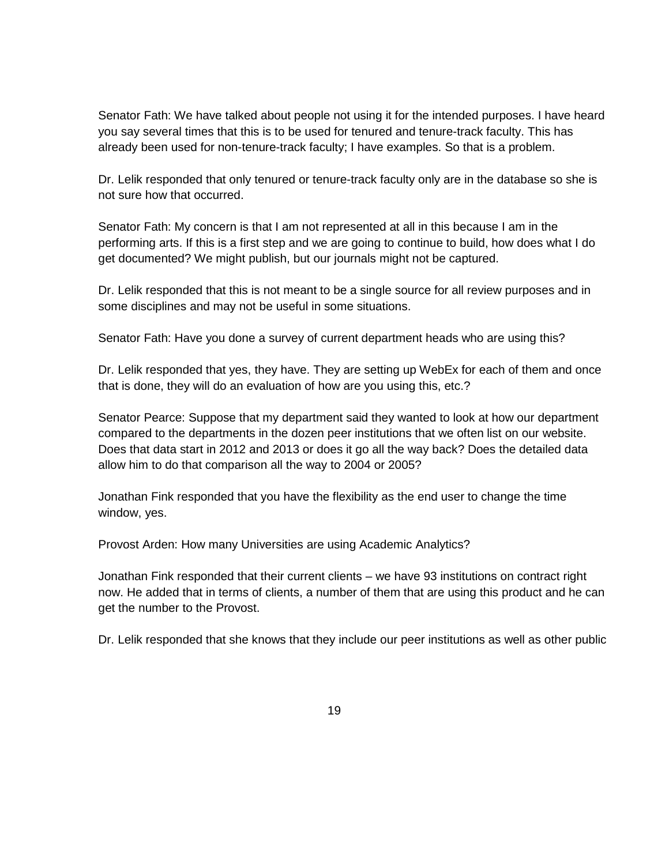Senator Fath: We have talked about people not using it for the intended purposes. I have heard you say several times that this is to be used for tenured and tenure-track faculty. This has already been used for non-tenure-track faculty; I have examples. So that is a problem.

Dr. Lelik responded that only tenured or tenure-track faculty only are in the database so she is not sure how that occurred.

Senator Fath: My concern is that I am not represented at all in this because I am in the performing arts. If this is a first step and we are going to continue to build, how does what I do get documented? We might publish, but our journals might not be captured.

Dr. Lelik responded that this is not meant to be a single source for all review purposes and in some disciplines and may not be useful in some situations.

Senator Fath: Have you done a survey of current department heads who are using this?

Dr. Lelik responded that yes, they have. They are setting up WebEx for each of them and once that is done, they will do an evaluation of how are you using this, etc.?

Senator Pearce: Suppose that my department said they wanted to look at how our department compared to the departments in the dozen peer institutions that we often list on our website. Does that data start in 2012 and 2013 or does it go all the way back? Does the detailed data allow him to do that comparison all the way to 2004 or 2005?

Jonathan Fink responded that you have the flexibility as the end user to change the time window, yes.

Provost Arden: How many Universities are using Academic Analytics?

Jonathan Fink responded that their current clients – we have 93 institutions on contract right now. He added that in terms of clients, a number of them that are using this product and he can get the number to the Provost.

Dr. Lelik responded that she knows that they include our peer institutions as well as other public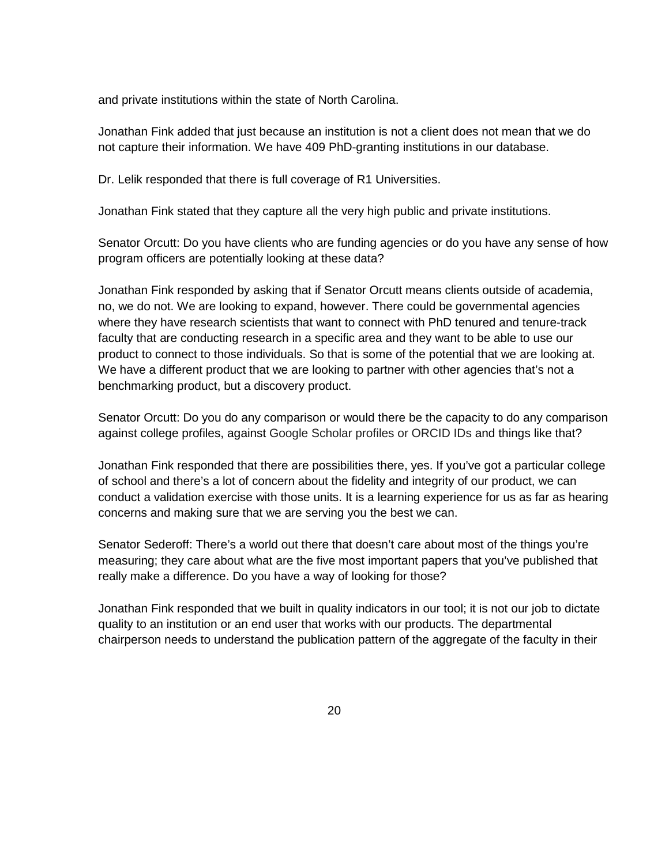and private institutions within the state of North Carolina.

Jonathan Fink added that just because an institution is not a client does not mean that we do not capture their information. We have 409 PhD-granting institutions in our database.

Dr. Lelik responded that there is full coverage of R1 Universities.

Jonathan Fink stated that they capture all the very high public and private institutions.

Senator Orcutt: Do you have clients who are funding agencies or do you have any sense of how program officers are potentially looking at these data?

Jonathan Fink responded by asking that if Senator Orcutt means clients outside of academia, no, we do not. We are looking to expand, however. There could be governmental agencies where they have research scientists that want to connect with PhD tenured and tenure-track faculty that are conducting research in a specific area and they want to be able to use our product to connect to those individuals. So that is some of the potential that we are looking at. We have a different product that we are looking to partner with other agencies that's not a benchmarking product, but a discovery product.

Senator Orcutt: Do you do any comparison or would there be the capacity to do any comparison against college profiles, against Google Scholar profiles or ORCID IDs and things like that?

Jonathan Fink responded that there are possibilities there, yes. If you've got a particular college of school and there's a lot of concern about the fidelity and integrity of our product, we can conduct a validation exercise with those units. It is a learning experience for us as far as hearing concerns and making sure that we are serving you the best we can.

Senator Sederoff: There's a world out there that doesn't care about most of the things you're measuring; they care about what are the five most important papers that you've published that really make a difference. Do you have a way of looking for those?

Jonathan Fink responded that we built in quality indicators in our tool; it is not our job to dictate quality to an institution or an end user that works with our products. The departmental chairperson needs to understand the publication pattern of the aggregate of the faculty in their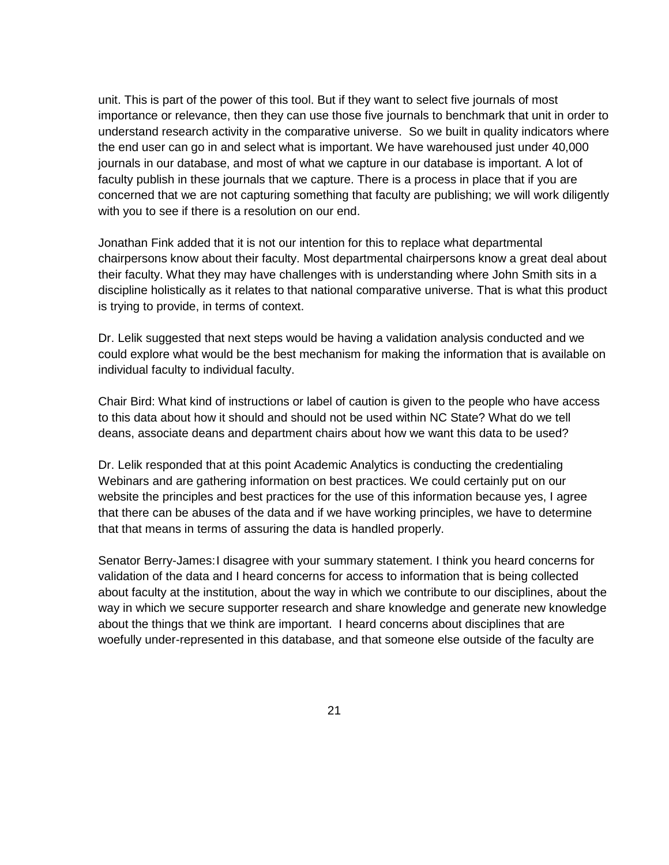unit. This is part of the power of this tool. But if they want to select five journals of most importance or relevance, then they can use those five journals to benchmark that unit in order to understand research activity in the comparative universe. So we built in quality indicators where the end user can go in and select what is important. We have warehoused just under 40,000 journals in our database, and most of what we capture in our database is important. A lot of faculty publish in these journals that we capture. There is a process in place that if you are concerned that we are not capturing something that faculty are publishing; we will work diligently with you to see if there is a resolution on our end.

Jonathan Fink added that it is not our intention for this to replace what departmental chairpersons know about their faculty. Most departmental chairpersons know a great deal about their faculty. What they may have challenges with is understanding where John Smith sits in a discipline holistically as it relates to that national comparative universe. That is what this product is trying to provide, in terms of context.

Dr. Lelik suggested that next steps would be having a validation analysis conducted and we could explore what would be the best mechanism for making the information that is available on individual faculty to individual faculty.

Chair Bird: What kind of instructions or label of caution is given to the people who have access to this data about how it should and should not be used within NC State? What do we tell deans, associate deans and department chairs about how we want this data to be used?

Dr. Lelik responded that at this point Academic Analytics is conducting the credentialing Webinars and are gathering information on best practices. We could certainly put on our website the principles and best practices for the use of this information because yes, I agree that there can be abuses of the data and if we have working principles, we have to determine that that means in terms of assuring the data is handled properly.

Senator Berry-James:I disagree with your summary statement. I think you heard concerns for validation of the data and I heard concerns for access to information that is being collected about faculty at the institution, about the way in which we contribute to our disciplines, about the way in which we secure supporter research and share knowledge and generate new knowledge about the things that we think are important. I heard concerns about disciplines that are woefully under-represented in this database, and that someone else outside of the faculty are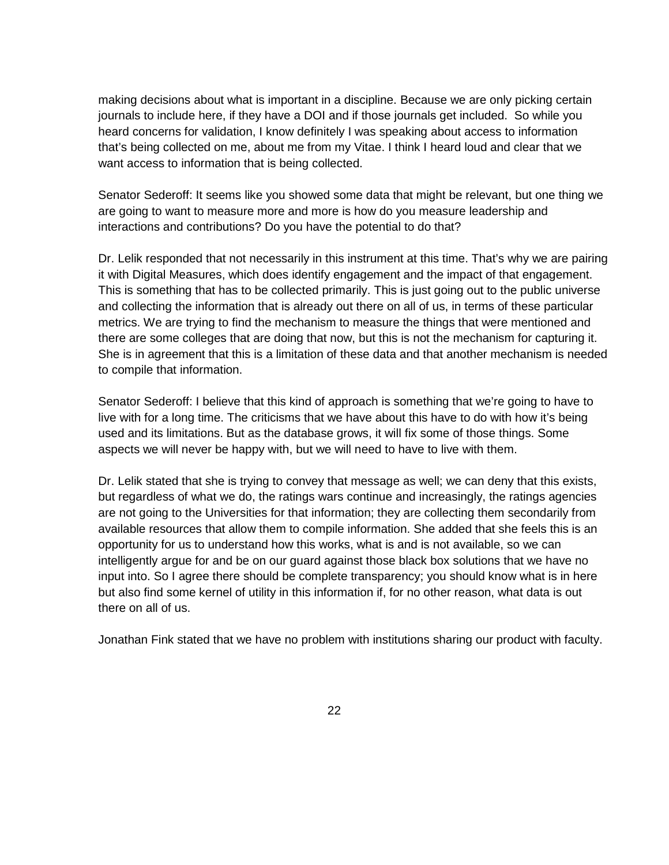making decisions about what is important in a discipline. Because we are only picking certain journals to include here, if they have a DOI and if those journals get included. So while you heard concerns for validation, I know definitely I was speaking about access to information that's being collected on me, about me from my Vitae. I think I heard loud and clear that we want access to information that is being collected.

Senator Sederoff: It seems like you showed some data that might be relevant, but one thing we are going to want to measure more and more is how do you measure leadership and interactions and contributions? Do you have the potential to do that?

Dr. Lelik responded that not necessarily in this instrument at this time. That's why we are pairing it with Digital Measures, which does identify engagement and the impact of that engagement. This is something that has to be collected primarily. This is just going out to the public universe and collecting the information that is already out there on all of us, in terms of these particular metrics. We are trying to find the mechanism to measure the things that were mentioned and there are some colleges that are doing that now, but this is not the mechanism for capturing it. She is in agreement that this is a limitation of these data and that another mechanism is needed to compile that information.

Senator Sederoff: I believe that this kind of approach is something that we're going to have to live with for a long time. The criticisms that we have about this have to do with how it's being used and its limitations. But as the database grows, it will fix some of those things. Some aspects we will never be happy with, but we will need to have to live with them.

Dr. Lelik stated that she is trying to convey that message as well; we can deny that this exists, but regardless of what we do, the ratings wars continue and increasingly, the ratings agencies are not going to the Universities for that information; they are collecting them secondarily from available resources that allow them to compile information. She added that she feels this is an opportunity for us to understand how this works, what is and is not available, so we can intelligently argue for and be on our guard against those black box solutions that we have no input into. So I agree there should be complete transparency; you should know what is in here but also find some kernel of utility in this information if, for no other reason, what data is out there on all of us.

Jonathan Fink stated that we have no problem with institutions sharing our product with faculty.